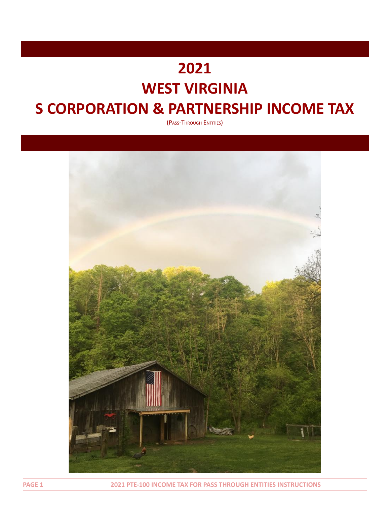# **2021 WEST VIRGINIA**

# **S CORPORATION & PARTNERSHIP INCOME TAX**

(PASS-THROUGH ENTITIES)



**PAGE 1 2021 PTE-100 INCOME TAX FOR PASS THROUGH ENTITIES INSTRUCTIONS**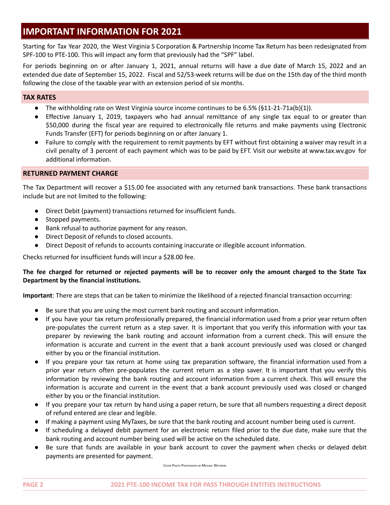# **IMPORTANT INFORMATION FOR 2021**

Starting for Tax Year 2020, the West Virginia S Corporation & Partnership Income Tax Return has been redesignated from SPF‐100 to PTE‐100. This will impact any form that previously had the "SPF" label.

For periods beginning on or after January 1, 2021, annual returns will have a due date of March 15, 2022 and an extended due date of September 15, 2022. Fiscal and 52/53-week returns will be due on the 15th day of the third month following the close of the taxable year with an extension period of six months.

# **TAX RATES**

- The withholding rate on West Virginia source income continues to be  $6.5\%$  (§11-21-71a(b)(1)).
- Effective January 1, 2019, taxpayers who had annual remittance of any single tax equal to or greater than \$50,000 during the fiscal year are required to electronically file returns and make payments using Electronic Funds Transfer (EFT) for periods beginning on or after January 1.
- Failure to comply with the requirement to remit payments by EFT without first obtaining a waiver may result in a civil penalty of 3 percent of each payment which was to be paid by EFT. Visit our website at [www.tax.wv.gov](http://www.tax.wv.gov) for additional information.

# **RETURNED PAYMENT CHARGE**

The Tax Department will recover a \$15.00 fee associated with any returned bank transactions. These bank transactions include but are not limited to the following:

- Direct Debit (payment) transactions returned for insufficient funds.
- Stopped payments.
- Bank refusal to authorize payment for any reason.
- Direct Deposit of refunds to closed accounts.
- Direct Deposit of refunds to accounts containing inaccurate or illegible account information.

Checks returned for insufficient funds will incur a \$28.00 fee.

# The fee charged for returned or rejected payments will be to recover only the amount charged to the State Tax **Department by the financial institutions.**

**Important**: There are steps that can be taken to minimize the likelihood of a rejected financial transaction occurring:

- Be sure that you are using the most current bank routing and account information.
- If you have your tax return professionally prepared, the financial information used from a prior year return often pre-populates the current return as a step saver. It is important that you verify this information with your tax preparer by reviewing the bank routing and account information from a current check. This will ensure the information is accurate and current in the event that a bank account previously used was closed or changed either by you or the financial institution.
- If you prepare your tax return at home using tax preparation software, the financial information used from a prior year return often pre-populates the current return as a step saver. It is important that you verify this information by reviewing the bank routing and account information from a current check. This will ensure the information is accurate and current in the event that a bank account previously used was closed or changed either by you or the financial institution.
- If you prepare your tax return by hand using a paper return, be sure that all numbers requesting a direct deposit of refund entered are clear and legible.
- If making a payment using MyTaxes, be sure that the bank routing and account number being used is current.
- If scheduling a delayed debit payment for an electronic return filed prior to the due date, make sure that the bank routing and account number being used will be active on the scheduled date.
- Be sure that funds are available in your bank account to cover the payment when checks or delayed debit payments are presented for payment.

COVER PHOTO PHOTOGRAPH BY MICHAEL WITHROW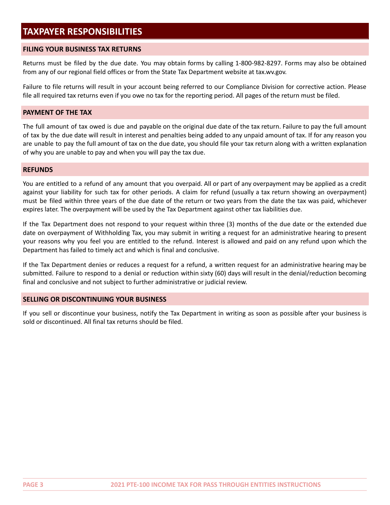# **FILING YOUR BUSINESS TAX RETURNS**

Returns must be filed by the due date. You may obtain forms by calling 1-800-982-8297. Forms may also be obtained from any of our regional field offices or from the State Tax Department website at tax.wv.gov.

Failure to file returns will result in your account being referred to our Compliance Division for corrective action. Please file all required tax returns even if you owe no tax for the reporting period. All pages of the return must be filed.

### **PAYMENT OF THE TAX**

The full amount of tax owed is due and payable on the original due date of the tax return. Failure to pay the full amount of tax by the due date will result in interest and penalties being added to any unpaid amount of tax. If for any reason you are unable to pay the full amount of tax on the due date, you should file your tax return along with a written explanation of why you are unable to pay and when you will pay the tax due.

### **REFUNDS**

You are entitled to a refund of any amount that you overpaid. All or part of any overpayment may be applied as a credit against your liability for such tax for other periods. A claim for refund (usually a tax return showing an overpayment) must be filed within three years of the due date of the return or two years from the date the tax was paid, whichever expires later. The overpayment will be used by the Tax Department against other tax liabilities due.

If the Tax Department does not respond to your request within three (3) months of the due date or the extended due date on overpayment of Withholding Tax, you may submit in writing a request for an administrative hearing to present your reasons why you feel you are entitled to the refund. Interest is allowed and paid on any refund upon which the Department has failed to timely act and which is final and conclusive.

If the Tax Department denies or reduces a request for a refund, a written request for an administrative hearing may be submitted. Failure to respond to a denial or reduction within sixty (60) days will result in the denial/reduction becoming final and conclusive and not subject to further administrative or judicial review.

# **SELLING OR DISCONTINUING YOUR BUSINESS**

If you sell or discontinue your business, notify the Tax Department in writing as soon as possible after your business is sold or discontinued. All final tax returns should be filed.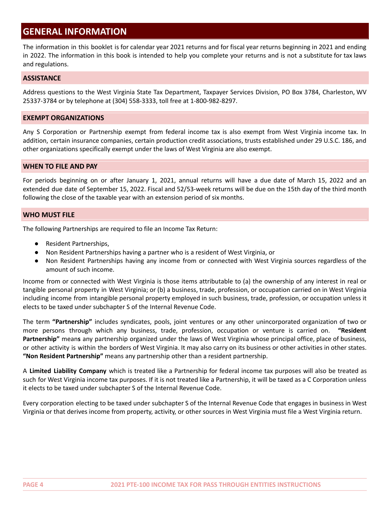# **GENERAL INFORMATION**

The information in this booklet is for calendar year 2021 returns and for fiscal year returns beginning in 2021 and ending in 2022. The information in this book is intended to help you complete your returns and is not a substitute for tax laws and regulations.

# **ASSISTANCE**

Address questions to the West Virginia State Tax Department, Taxpayer Services Division, PO Box 3784, Charleston, WV 25337-3784 or by telephone at (304) 558-3333, toll free at 1-800-982-8297.

### **EXEMPT ORGANIZATIONS**

Any S Corporation or Partnership exempt from federal income tax is also exempt from West Virginia income tax. In addition, certain insurance companies, certain production credit associations, trusts established under 29 U.S.C. 186, and other organizations specifically exempt under the laws of West Virginia are also exempt.

### **WHEN TO FILE AND PAY**

For periods beginning on or after January 1, 2021, annual returns will have a due date of March 15, 2022 and an extended due date of September 15, 2022. Fiscal and 52/53-week returns will be due on the 15th day of the third month following the close of the taxable year with an extension period of six months.

### **WHO MUST FILE**

The following Partnerships are required to file an Income Tax Return:

- Resident Partnerships,
- Non Resident Partnerships having a partner who is a resident of West Virginia, or
- Non Resident Partnerships having any income from or connected with West Virginia sources regardless of the amount of such income.

Income from or connected with West Virginia is those items attributable to (a) the ownership of any interest in real or tangible personal property in West Virginia; or (b) a business, trade, profession, or occupation carried on in West Virginia including income from intangible personal property employed in such business, trade, profession, or occupation unless it elects to be taxed under subchapter S of the Internal Revenue Code.

The term **"Partnership"** includes syndicates, pools, joint ventures or any other unincorporated organization of two or more persons through which any business, trade, profession, occupation or venture is carried on. **"Resident Partnership"** mean**s** any partnership organized under the laws of West Virginia whose principal office, place of business, or other activity is within the borders of West Virginia. It may also carry on its business or other activities in other states. **"Non Resident Partnership"** means any partnership other than a resident partnership.

A **Limited Liability Company** which is treated like a Partnership for federal income tax purposes will also be treated as such for West Virginia income tax purposes. If it is not treated like a Partnership, it will be taxed as a C Corporation unless it elects to be taxed under subchapter S of the Internal Revenue Code.

Every corporation electing to be taxed under subchapter S of the Internal Revenue Code that engages in business in West Virginia or that derives income from property, activity, or other sources in West Virginia must file a West Virginia return.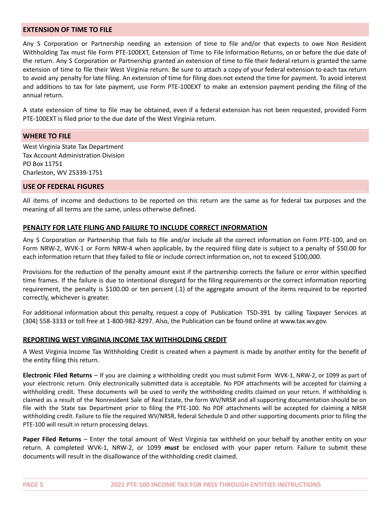### **EXTENSION OF TIME TO FILE**

Any S Corporation or Partnership needing an extension of time to file and/or that expects to owe Non Resident Withholding Tax must file Form PTE-100EXT, Extension of Time to File Information Returns, on or before the due date of the return. Any S Corporation or Partnership granted an extension of time to file their federal return is granted the same extension of time to file their West Virginia return. Be sure to attach a copy of your federal extension to each tax return to avoid any penalty for late filing. An extension of time for filing does not extend the time for payment. To avoid interest and additions to tax for late payment, use Form PTE-100EXT to make an extension payment pending the filing of the annual return.

A state extension of time to file may be obtained, even if a federal extension has not been requested, provided Form PTE-100EXT is filed prior to the due date of the West Virginia return.

### **WHERE TO FILE**

West Virginia State Tax Department Tax Account Administration Division PO Box 11751 Charleston, WV 25339-1751

### **USE OF FEDERAL FIGURES**

All items of income and deductions to be reported on this return are the same as for federal tax purposes and the meaning of all terms are the same, unless otherwise defined.

# **PENALTY FOR LATE FILING AND FAILURE TO INCLUDE CORRECT INFORMATION**

Any S Corporation or Partnership that fails to file and/or include all the correct information on Form PTE-100, and on Form NRW-2, WVK-1 or Form NRW-4 when applicable, by the required filing date is subject to a penalty of \$50.00 for each information return that they failed to file or include correct information on, not to exceed \$100,000.

Provisions for the reduction of the penalty amount exist if the partnership corrects the failure or error within specified time frames. If the failure is due to intentional disregard for the filing requirements or the correct information reporting requirement, the penalty is \$100.00 or ten percent (.1) of the aggregate amount of the items required to be reported correctly, whichever is greater.

For additional information about this penalty, request a copy of Publication TSD-391 by calling Taxpayer Services at (304) 558-3333 or toll free at 1-800-982-8297. Also, the Publication can be found online at [www.tax.wv.gov.](http://www.tax.wv.gov/)

# **REPORTING WEST VIRGINIA INCOME TAX WITHHOLDING CREDIT**

A West Virginia Income Tax Withholding Credit is created when a payment is made by another entity for the benefit of the entity filing this return.

**Electronic Filed Returns** – If you are claiming a withholding credit you must submit Form WVK-1, NRW-2, or 1099 as part of your electronic return. Only electronically submitted data is acceptable. No PDF attachments will be accepted for claiming a withholding credit. These documents will be used to verify the withholding credits claimed on your return. If withholding is claimed as a result of the Nonresident Sale of Real Estate, the form WV/NRSR and all supporting documentation should be on file with the State tax Department prior to filing the PTE-100. No PDF attachments will be accepted for claiming a NRSR withholding credit. Failure to file the required WV/NRSR, federal Schedule D and other supporting documents prior to filing the PTE-100 will result in return processing delays.

**Paper Filed Returns** – Enter the total amount of West Virginia tax withheld on your behalf by another entity on your return. A completed WVK-1, NRW-2, or 1099 *must* be enclosed with your paper return. Failure to submit these documents will result in the disallowance of the withholding credit claimed.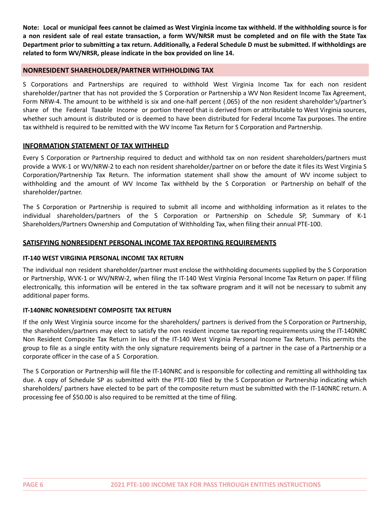Note: Local or municipal fees cannot be claimed as West Virginia income tax withheld. If the withholding source is for a non resident sale of real estate transaction, a form WV/NRSR must be completed and on file with the State Tax Department prior to submitting a tax return. Additionally, a Federal Schedule D must be submitted. If withholdings are **related to form WV/NRSR, please indicate in the box provided on line 14.**

# **NONRESIDENT SHAREHOLDER/PARTNER WITHHOLDING TAX**

S Corporations and Partnerships are required to withhold West Virginia Income Tax for each non resident shareholder/partner that has not provided the S Corporation or Partnership a WV Non Resident Income Tax Agreement, Form NRW-4. The amount to be withheld is six and one-half percent (.065) of the non resident shareholder's/partner's share of the Federal Taxable Income or portion thereof that is derived from or attributable to West Virginia sources, whether such amount is distributed or is deemed to have been distributed for Federal Income Tax purposes. The entire tax withheld is required to be remitted with the WV Income Tax Return for S Corporation and Partnership.

# **INFORMATION STATEMENT OF TAX WITHHELD**

Every S Corporation or Partnership required to deduct and withhold tax on non resident shareholders/partners must provide a WVK-1 or WV/NRW-2 to each non resident shareholder/partner on or before the date it files its West Virginia S Corporation/Partnership Tax Return. The information statement shall show the amount of WV income subject to withholding and the amount of WV Income Tax withheld by the S Corporation or Partnership on behalf of the shareholder/partner.

The S Corporation or Partnership is required to submit all income and withholding information as it relates to the individual shareholders/partners of the S Corporation or Partnership on Schedule SP, Summary of K-1 Shareholders/Partners Ownership and Computation of Withholding Tax, when filing their annual PTE-100.

# **SATISFYING NONRESIDENT PERSONAL INCOME TAX REPORTING REQUIREMENTS**

# **IT-140 WEST VIRGINIA PERSONAL INCOME TAX RETURN**

The individual non resident shareholder/partner must enclose the withholding documents supplied by the S Corporation or Partnership, WVK-1 or WV/NRW-2, when filing the IT-140 West Virginia Personal Income Tax Return on paper. If filing electronically, this information will be entered in the tax software program and it will not be necessary to submit any additional paper forms.

# **IT-140NRC NONRESIDENT COMPOSITE TAX RETURN**

If the only West Virginia source income for the shareholders/ partners is derived from the S Corporation or Partnership, the shareholders/partners may elect to satisfy the non resident income tax reporting requirements using the IT-140NRC Non Resident Composite Tax Return in lieu of the IT-140 West Virginia Personal Income Tax Return. This permits the group to file as a single entity with the only signature requirements being of a partner in the case of a Partnership or a corporate officer in the case of a S Corporation.

The S Corporation or Partnership will file the IT-140NRC and is responsible for collecting and remitting all withholding tax due. A copy of Schedule SP as submitted with the PTE-100 filed by the S Corporation or Partnership indicating which shareholders/ partners have elected to be part of the composite return must be submitted with the IT-140NRC return. A processing fee of \$50.00 is also required to be remitted at the time of filing.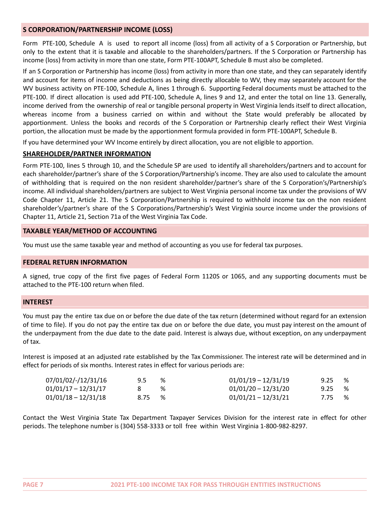# **S CORPORATION/PARTNERSHIP INCOME (LOSS)**

Form PTE-100, Schedule A is used to report all income (loss) from all activity of a S Corporation or Partnership, but only to the extent that it is taxable and allocable to the shareholders/partners. If the S Corporation or Partnership has income (loss) from activity in more than one state, Form PTE-100APT, Schedule B must also be completed.

If an S Corporation or Partnership has income (loss) from activity in more than one state, and they can separately identify and account for items of income and deductions as being directly allocable to WV, they may separately account for the WV business activity on PTE-100, Schedule A, lines 1 through 6. Supporting Federal documents must be attached to the PTE-100. If direct allocation is used add PTE-100, Schedule A, lines 9 and 12, and enter the total on line 13. Generally, income derived from the ownership of real or tangible personal property in West Virginia lends itself to direct allocation, whereas income from a business carried on within and without the State would preferably be allocated by apportionment. Unless the books and records of the S Corporation or Partnership clearly reflect their West Virginia portion, the allocation must be made by the apportionment formula provided in form PTE-100APT, Schedule B.

If you have determined your WV Income entirely by direct allocation, you are not eligible to apportion.

# **SHAREHOLDER/PARTNER INFORMATION**

Form PTE-100, lines 5 through 10, and the Schedule SP are used to identify all shareholders/partners and to account for each shareholder/partner's share of the S Corporation/Partnership's income. They are also used to calculate the amount of withholding that is required on the non resident shareholder/partner's share of the S Corporation's/Partnership's income. All individual shareholders/partners are subject to West Virginia personal income tax under the provisions of WV Code Chapter 11, Article 21. The S Corporation/Partnership is required to withhold income tax on the non resident shareholder's/partner's share of the S Corporations/Partnership's West Virginia source income under the provisions of Chapter 11, Article 21, Section 71a of the West Virginia Tax Code.

# **TAXABLE YEAR/METHOD OF ACCOUNTING**

You must use the same taxable year and method of accounting as you use for federal tax purposes.

# **FEDERAL RETURN INFORMATION**

A signed, true copy of the first five pages of Federal Form 1120S or 1065, and any supporting documents must be attached to the PTE-100 return when filed.

### <span id="page-6-0"></span>**INTEREST**

You must pay the entire tax due on or before the due date of the tax return (determined without regard for an extension of time to file). If you do not pay the entire tax due on or before the due date, you must pay interest on the amount of the underpayment from the due date to the date paid. Interest is always due, without exception, on any underpayment of tax.

Interest is imposed at an adjusted rate established by the Tax Commissioner. The interest rate will be determined and in effect for periods of six months. Interest rates in effect for various periods are:

| 07/01/02/-/12/31/16   | 9.5    | % | 01/01/19 – 12/31/19   | 9.25            | - % |
|-----------------------|--------|---|-----------------------|-----------------|-----|
| $01/01/17 - 12/31/17$ |        | % | $01/01/20 - 12/31/20$ | $9.25\degree$ % |     |
| $01/01/18 - 12/31/18$ | 8.75 % |   | $01/01/21 - 12/31/21$ | 7.75 %          |     |

Contact the West Virginia State Tax Department Taxpayer Services Division for the interest rate in effect for other periods. The telephone number is (304) 558-3333 or toll free within West Virginia 1-800-982-8297.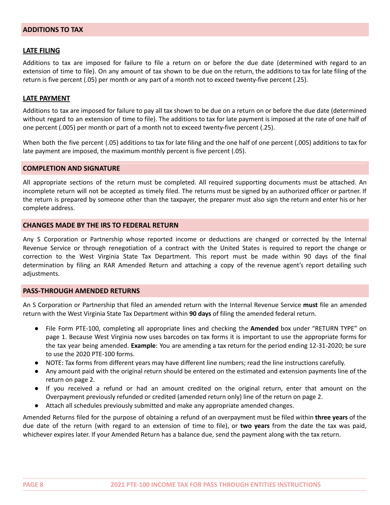### **LATE FILING**

Additions to tax are imposed for failure to file a return on or before the due date (determined with regard to an extension of time to file). On any amount of tax shown to be due on the return, the additions to tax for late filing of the return is five percent (.05) per month or any part of a month not to exceed twenty-five percent (.25).

### **LATE PAYMENT**

Additions to tax are imposed for failure to pay all tax shown to be due on a return on or before the due date (determined without regard to an extension of time to file). The additions to tax for late payment is imposed at the rate of one half of one percent (.005) per month or part of a month not to exceed twenty-five percent (.25).

When both the five percent (.05) additions to tax for late filing and the one half of one percent (.005) additions to tax for late payment are imposed, the maximum monthly percent is five percent (.05).

### **COMPLETION AND SIGNATURE**

All appropriate sections of the return must be completed. All required supporting documents must be attached. An incomplete return will not be accepted as timely filed. The returns must be signed by an authorized officer or partner. If the return is prepared by someone other than the taxpayer, the preparer must also sign the return and enter his or her complete address.

### **CHANGES MADE BY THE IRS TO FEDERAL RETURN**

Any S Corporation or Partnership whose reported income or deductions are changed or corrected by the Internal Revenue Service or through renegotiation of a contract with the United States is required to report the change or correction to the West Virginia State Tax Department. This report must be made within 90 days of the final determination by filing an RAR Amended Return and attaching a copy of the revenue agent's report detailing such adjustments.

### **PASS-THROUGH AMENDED RETURNS**

An S Corporation or Partnership that filed an amended return with the Internal Revenue Service **must** file an amended return with the West Virginia State Tax Department within **90 days** of filing the amended federal return.

- File Form PTE-100, completing all appropriate lines and checking the **Amended** box under "RETURN TYPE" on page 1. Because West Virginia now uses barcodes on tax forms it is important to use the appropriate forms for the tax year being amended. **Example**: You are amending a tax return for the period ending 12-31-2020; be sure to use the 2020 PTE-100 forms.
- NOTE: Tax forms from different years may have different line numbers; read the line instructions carefully.
- Any amount paid with the original return should be entered on the estimated and extension payments line of the return on page 2.
- If you received a refund or had an amount credited on the original return, enter that amount on the Overpayment previously refunded or credited (amended return only) line of the return on page 2.
- Attach all schedules previously submitted and make any appropriate amended changes.

Amended Returns filed for the purpose of obtaining a refund of an overpayment must be filed within **three years** of the due date of the return (with regard to an extension of time to file), or **two years** from the date the tax was paid, whichever expires later. If your Amended Return has a balance due, send the payment along with the tax return.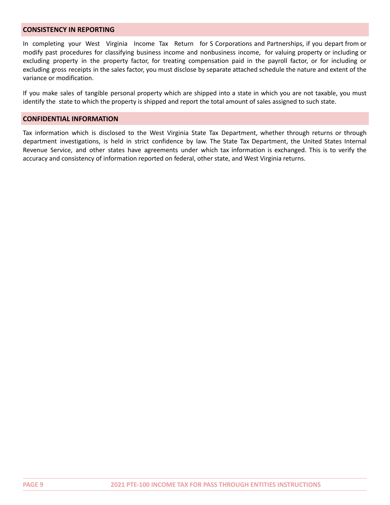### **CONSISTENCY IN REPORTING**

In completing your West Virginia Income Tax Return for S Corporations and Partnerships, if you depart from or modify past procedures for classifying business income and nonbusiness income, for valuing property or including or excluding property in the property factor, for treating compensation paid in the payroll factor, or for including or excluding gross receipts in the sales factor, you must disclose by separate attached schedule the nature and extent of the variance or modification.

If you make sales of tangible personal property which are shipped into a state in which you are not taxable, you must identify the state to which the property is shipped and report the total amount of sales assigned to such state.

### **CONFIDENTIAL INFORMATION**

Tax information which is disclosed to the West Virginia State Tax Department, whether through returns or through department investigations, is held in strict confidence by law. The State Tax Department, the United States Internal Revenue Service, and other states have agreements under which tax information is exchanged. This is to verify the accuracy and consistency of information reported on federal, other state, and West Virginia returns.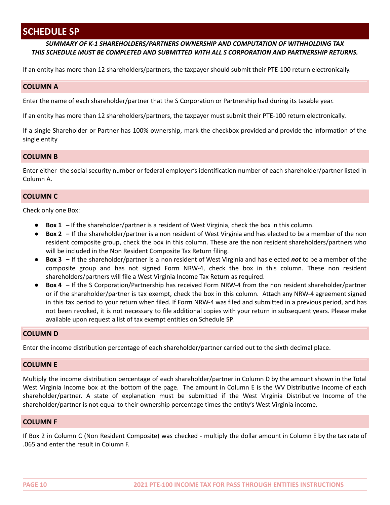# **SCHEDULE SP**

# *SUMMARY OF K-1 SHAREHOLDERS/PARTNERS OWNERSHIP AND COMPUTATION OF WITHHOLDING TAX THIS SCHEDULE MUST BE COMPLETED AND SUBMITTED WITH ALL S CORPORATION AND PARTNERSHIP RETURNS.*

If an entity has more than 12 shareholders/partners, the taxpayer should submit their PTE-100 return electronically.

### **COLUMN A**

Enter the name of each shareholder/partner that the S Corporation or Partnership had during its taxable year.

If an entity has more than 12 shareholders/partners, the taxpayer must submit their PTE‐100 return electronically.

If a single Shareholder or Partner has 100% ownership, mark the checkbox provided and provide the information of the single entity

### **COLUMN B**

Enter either the social security number or federal employer's identification number of each shareholder/partner listed in Column A.

# **COLUMN C**

Check only one Box:

- **Box 1** If the shareholder/partner is a resident of West Virginia, check the box in this column.
- **Box 2** If the shareholder/partner is a non resident of West Virginia and has elected to be a member of the non resident composite group, check the box in this column. These are the non resident shareholders/partners who will be included in the Non Resident Composite Tax Return filing.
- **Box 3 –** If the shareholder/partner is a non resident of West Virginia and has elected *not* to be a member of the composite group and has not signed Form NRW-4, check the box in this column. These non resident shareholders/partners will file a West Virginia Income Tax Return as required.
- **Box 4** − If the S Corporation/Partnership has received Form NRW-4 from the non resident shareholder/partner or if the shareholder/partner is tax exempt, check the box in this column. Attach any NRW‐4 agreement signed in this tax period to your return when filed. If Form NRW-4 was filed and submitted in a previous period, and has not been revoked, it is not necessary to file additional copies with your return in subsequent years. Please make available upon request a list of tax exempt entities on Schedule SP.

### **COLUMN D**

Enter the income distribution percentage of each shareholder/partner carried out to the sixth decimal place.

### **COLUMN E**

Multiply the income distribution percentage of each shareholder/partner in Column D by the amount shown in the Total West Virginia Income box at the bottom of the page. The amount in Column E is the WV Distributive Income of each shareholder/partner. A state of explanation must be submitted if the West Virginia Distributive Income of the shareholder/partner is not equal to their ownership percentage times the entity's West Virginia income.

### **COLUMN F**

If Box 2 in Column C (Non Resident Composite) was checked - multiply the dollar amount in Column E by the tax rate of .065 and enter the result in Column F.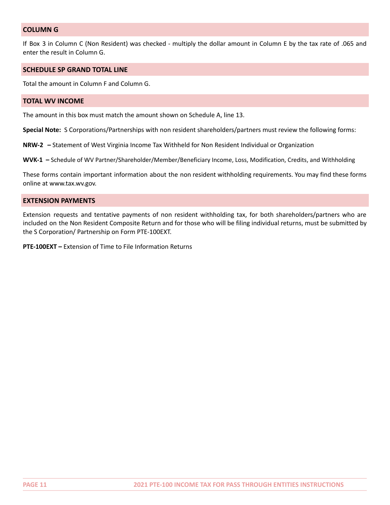# **COLUMN G**

If Box 3 in Column C (Non Resident) was checked - multiply the dollar amount in Column E by the tax rate of .065 and enter the result in Column G.

### **SCHEDULE SP GRAND TOTAL LINE**

Total the amount in Column F and Column G.

#### **TOTAL WV INCOME**

The amount in this box must match the amount shown on Schedule A, line 13.

**Special Note:** S Corporations/Partnerships with non resident shareholders/partners must review the following forms:

**NRW-2 –** Statement of West Virginia Income Tax Withheld for Non Resident Individual or Organization

**WVK-1 –** Schedule of WV Partner/Shareholder/Member/Beneficiary Income, Loss, Modification, Credits, and Withholding

These forms contain important information about the non resident withholding requirements. You may find these forms online at [www.tax.wv.gov.](http://www.tax.wv.gov/)

### **EXTENSION PAYMENTS**

Extension requests and tentative payments of non resident withholding tax, for both shareholders/partners who are included on the Non Resident Composite Return and for those who will be filing individual returns, must be submitted by the S Corporation/ Partnership on Form PTE-100EXT.

**PTE-100EXT –** Extension of Time to File Information Returns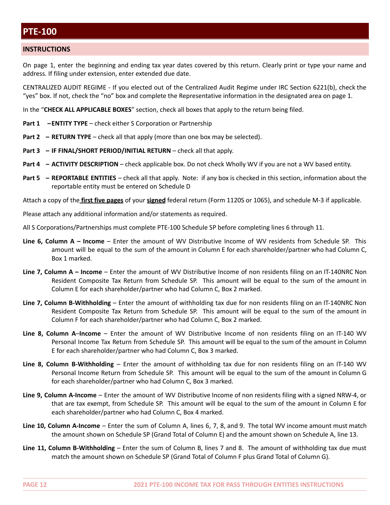# **PTE-100**

# **INSTRUCTIONS**

On page 1, enter the beginning and ending tax year dates covered by this return. Clearly print or type your name and address. If filing under extension, enter extended due date.

CENTRALIZED AUDIT REGIME ‐ If you elected out of the Centralized Audit Regime under IRC Section 6221(b), check the "yes" box. If not, check the "no" box and complete the Representative information in the designated area on page 1.

In the "**CHECK ALL APPLICABLE BOXES**" section, check all boxes that apply to the return being filed.

- **Part 1 –ENTITY TYPE** check either S Corporation or Partnership
- **Part 2 – RETURN TYPE** check all that apply (more than one box may be selected).
- **Part 3 – IF FINAL/SHORT PERIOD/INITIAL RETURN** check all that apply.
- **Part 4 – ACTIVITY DESCRIPTION** check applicable box. Do not check Wholly WV if you are not a WV based entity.
- **Part 5 – REPORTABLE ENTITIES** check all that apply. Note: if any box is checked in this section, information about the reportable entity must be entered on Schedule D
- Attach a copy of the **first five pages** of your **signed** federal return (Form 1120S or 1065), and schedule M-3 if applicable.

Please attach any additional information and/or statements as required.

- All S Corporations/Partnerships must complete PTE-100 Schedule SP before completing lines 6 through 11.
- **Line 6, Column A – Income** Enter the amount of WV Distributive Income of WV residents from Schedule SP. This amount will be equal to the sum of the amount in Column E for each shareholder/partner who had Column C, Box 1 marked.
- **Line 7, Column A – Income** Enter the amount of WV Distributive Income of non residents filing on an IT-140NRC Non Resident Composite Tax Return from Schedule SP. This amount will be equal to the sum of the amount in Column E for each shareholder/partner who had Column C, Box 2 marked.
- **Line 7, Column B-Withholding** Enter the amount of withholding tax due for non residents filing on an IT-140NRC Non Resident Composite Tax Return from Schedule SP. This amount will be equal to the sum of the amount in Column F for each shareholder/partner who had Column C, Box 2 marked.
- **Line 8, Column A**–**Income** Enter the amount of WV Distributive Income of non residents filing on an IT-140 WV Personal Income Tax Return from Schedule SP. This amount will be equal to the sum of the amount in Column E for each shareholder/partner who had Column C, Box 3 marked.
- **Line 8, Column B-Withholding** Enter the amount of withholding tax due for non residents filing on an IT-140 WV Personal Income Return from Schedule SP. This amount will be equal to the sum of the amount in Column G for each shareholder/partner who had Column C, Box 3 marked.
- **Line 9, Column A-Income** Enter the amount of WV Distributive Income of non residents filing with a signed NRW-4, or that are tax exempt, from Schedule SP. This amount will be equal to the sum of the amount in Column E for each shareholder/partner who had Column C, Box 4 marked.
- **Line 10, Column A-Income** Enter the sum of Column A, lines 6, 7, 8, and 9. The total WV income amount must match the amount shown on Schedule SP (Grand Total of Column E) and the amount shown on Schedule A, line 13.
- **Line 11, Column B-Withholding** Enter the sum of Column B, lines 7 and 8. The amount of withholding tax due must match the amount shown on Schedule SP (Grand Total of Column F plus Grand Total of Column G).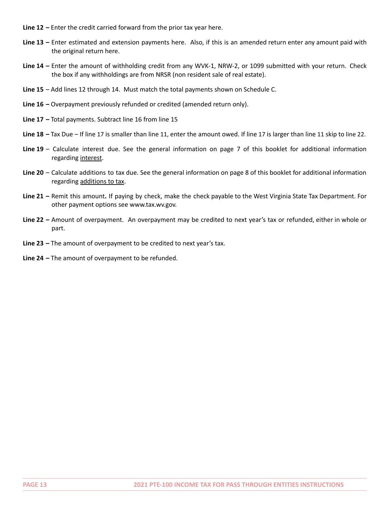- **Line 12 –** Enter the credit carried forward from the prior tax year here.
- **Line 13 –** Enter estimated and extension payments here. Also, if this is an amended return enter any amount paid with the original return here.
- **Line 14 –** Enter the amount of withholding credit from any WVK-1, NRW-2, or 1099 submitted with your return. Check the box if any withholdings are from NRSR (non resident sale of real estate).
- **Line 15** Add lines 12 through 14. Must match the total payments shown on Schedule C.
- **Line 16 –** Overpayment previously refunded or credited (amended return only).
- **Line 17 –** Total payments. Subtract line 16 from line 15
- **Line 18 –** Tax Due If line 17 is smaller than line 11, enter the amount owed. If line 17 is larger than line 11 skip to line 22.
- **Line 19** Calculate interest due. See the general information on page 7 of this booklet for additional information regarding [interest](#page-6-0).
- **Line 20** Calculate additions to tax due. See the general information on page 8 of this booklet for additional information regarding additions to tax.
- **Line 21 –** Remit this amount**.** If paying by check, make the check payable to the West Virginia State Tax Department. For other payment options see [www.tax.wv.gov.](http://www.tax.wv.gov/)
- **Line 22 –** Amount of overpayment. An overpayment may be credited to next year's tax or refunded, either in whole or part.
- **Line 23 –** The amount of overpayment to be credited to next year's tax.
- **Line 24 –** The amount of overpayment to be refunded.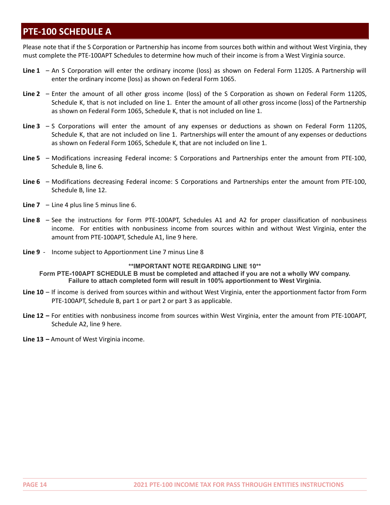# **PTE-100 SCHEDULE A**

Please note that if the S Corporation or Partnership has income from sources both within and without West Virginia, they must complete the PTE-100APT Schedules to determine how much of their income is from a West Virginia source.

- **Line 1** An S Corporation will enter the ordinary income (loss) as shown on Federal Form 1120S. A Partnership will enter the ordinary income (loss) as shown on Federal Form 1065.
- **Line 2** Enter the amount of all other gross income (loss) of the S Corporation as shown on Federal Form 1120S, Schedule K, that is not included on line 1. Enter the amount of all other gross income (loss) of the Partnership as shown on Federal Form 1065, Schedule K, that is not included on line 1.
- **Line 3** S Corporations will enter the amount of any expenses or deductions as shown on Federal Form 1120S, Schedule K, that are not included on line 1. Partnerships will enter the amount of any expenses or deductions as shown on Federal Form 1065, Schedule K, that are not included on line 1.
- **Line 5** Modifications increasing Federal income: S Corporations and Partnerships enter the amount from PTE-100, Schedule B, line 6.
- **Line 6** Modifications decreasing Federal income: S Corporations and Partnerships enter the amount from PTE-100, Schedule B, line 12.
- **Line 7** Line 4 plus line 5 minus line 6.
- **Line 8** See the instructions for Form PTE-100APT, Schedules A1 and A2 for proper classification of nonbusiness income. For entities with nonbusiness income from sources within and without West Virginia, enter the amount from PTE-100APT, Schedule A1, line 9 here.
- **Line 9** Income subject to Apportionment Line 7 minus Line 8

# **\*\*IMPORTANT NOTE REGARDING LINE 10\*\***

**Form PTE-100APT SCHEDULE B must be completed and attached if you are not a wholly WV company. Failure to attach completed form will result in 100% apportionment to West Virginia.**

- **Line 10** If income is derived from sources within and without West Virginia, enter the apportionment factor from Form PTE-100APT, Schedule B, part 1 or part 2 or part 3 as applicable.
- **Line 12 –** For entities with nonbusiness income from sources within West Virginia, enter the amount from PTE-100APT, Schedule A2, line 9 here.
- **Line 13 –** Amount of West Virginia income.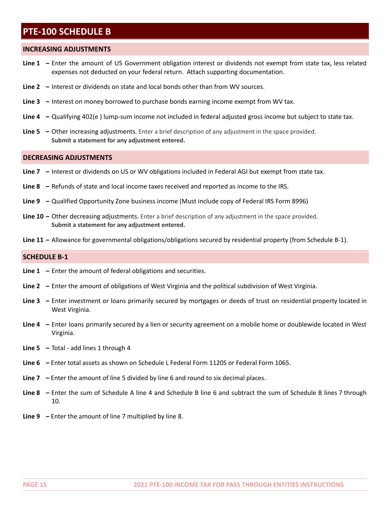# **PTE-100 SCHEDULE B**

### **INCREASING ADJUSTMENTS**

- **Line 1 –** Enter the amount of US Government obligation interest or dividends not exempt from state tax, less related expenses not deducted on your federal return. Attach supporting documentation.
- **Line 2 –** Interest or dividends on state and local bonds other than from WV sources.
- **Line 3 –** Interest on money borrowed to purchase bonds earning income exempt from WV tax.
- **Line 4 –** Qualifying 402(e ) lump-sum income not included in federal adjusted gross income but subject to state tax.
- **Line 5 –** Other increasing adjustments. Enter a brief description of any adjustment in the space provided. **Submit a statement for any adjustment entered.**

### **DECREASING ADJUSTMENTS**

- **Line 7 –** Interest or dividends on US or WV obligations included in Federal AGI but exempt from state tax.
- **Line 8 –** Refunds of state and local income taxes received and reported as income to the IRS.
- **Line 9 –** Qualified Opportunity Zone business income (Must include copy of Federal IRS Form 8996)
- **Line 10 –** Other decreasing adjustments. Enter a brief description of any adjustment in the space provided. **Submit a statement for any adjustment entered.**
- **Line 11 –** Allowance for governmental obligations/obligations secured by residential property (from Schedule B-1).

### **SCHEDULE B-1**

- **Line 1 –** Enter the amount of federal obligations and securities.
- **Line 2 –** Enter the amount of obligations of West Virginia and the political subdivision of West Virginia.
- **Line 3 –** Enter investment or loans primarily secured by mortgages or deeds of trust on residential property located in West Virginia.
- **Line 4 –** Enter loans primarily secured by a lien or security agreement on a mobile home or doublewide located in West Virginia.
- **Line 5 –** Total add lines 1 through 4
- **Line 6 –** Enter total assets as shown on Schedule L Federal Form 1120S or Federal Form 1065.
- **Line 7 –** Enter the amount of line 5 divided by line 6 and round to six decimal places.
- **Line 8 –** Enter the sum of Schedule A line 4 and Schedule B line 6 and subtract the sum of Schedule B lines 7 through 10.
- **Line 9 –** Enter the amount of line 7 multiplied by line 8.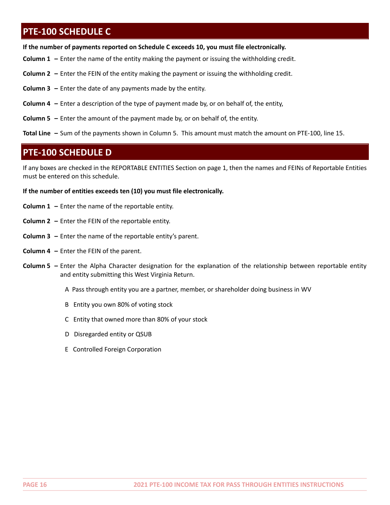# **PTE-100 SCHEDULE C**

**If the number of payments reported on Schedule C exceeds 10, you must file electronically.**

- **Column 1 –** Enter the name of the entity making the payment or issuing the withholding credit.
- **Column 2 –** Enter the FEIN of the entity making the payment or issuing the withholding credit.
- **Column 3 –** Enter the date of any payments made by the entity.
- **Column 4 –** Enter a description of the type of payment made by, or on behalf of, the entity,
- **Column 5 –** Enter the amount of the payment made by, or on behalf of, the entity.
- **Total Line –** Sum of the payments shown in Column 5. This amount must match the amount on PTE-100, line 15.

# **PTE-100 SCHEDULE D**

If any boxes are checked in the REPORTABLE ENTITIES Section on page 1, then the names and FEINs of Reportable Entities must be entered on this schedule.

### **If the number of entities exceeds ten (10) you must file electronically.**

- **Column 1 –** Enter the name of the reportable entity.
- **Column 2 –** Enter the FEIN of the reportable entity.
- **Column 3 –** Enter the name of the reportable entity's parent.
- **Column 4 –** Enter the FEIN of the parent.
- **Column 5 –** Enter the Alpha Character designation for the explanation of the relationship between reportable entity and entity submitting this West Virginia Return.
	- A Pass through entity you are a partner, member, or shareholder doing business in WV
	- B Entity you own 80% of voting stock
	- C Entity that owned more than 80% of your stock
	- D Disregarded entity or QSUB
	- E Controlled Foreign Corporation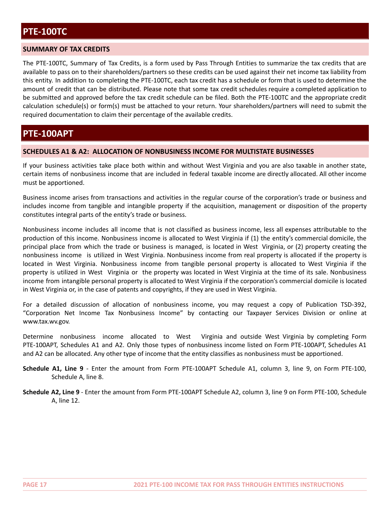# **SUMMARY OF TAX CREDITS**

The PTE-100TC, Summary of Tax Credits, is a form used by Pass Through Entities to summarize the tax credits that are available to pass on to their shareholders/partners so these credits can be used against their net income tax liability from this entity. In addition to completing the PTE-100TC, each tax credit has a schedule or form that is used to determine the amount of credit that can be distributed. Please note that some tax credit schedules require a completed application to be submitted and approved before the tax credit schedule can be filed. Both the PTE-100TC and the appropriate credit calculation schedule(s) or form(s) must be attached to your return. Your shareholders/partners will need to submit the required documentation to claim their percentage of the available credits.

# **PTE-100APT**

### **SCHEDULES A1 & A2: ALLOCATION OF NONBUSINESS INCOME FOR MULTISTATE BUSINESSES**

If your business activities take place both within and without West Virginia and you are also taxable in another state, certain items of nonbusiness income that are included in federal taxable income are directly allocated. All other income must be apportioned.

Business income arises from transactions and activities in the regular course of the corporation's trade or business and includes income from tangible and intangible property if the acquisition, management or disposition of the property constitutes integral parts of the entity's trade or business.

Nonbusiness income includes all income that is not classified as business income, less all expenses attributable to the production of this income. Nonbusiness income is allocated to West Virginia if (1) the entity's commercial domicile, the principal place from which the trade or business is managed, is located in West Virginia, or (2) property creating the nonbusiness income is utilized in West Virginia. Nonbusiness income from real property is allocated if the property is located in West Virginia. Nonbusiness income from tangible personal property is allocated to West Virginia if the property is utilized in West Virginia or the property was located in West Virginia at the time of its sale. Nonbusiness income from intangible personal property is allocated to West Virginia if the corporation's commercial domicile is located in West Virginia or, in the case of patents and copyrights, if they are used in West Virginia.

For a detailed discussion of allocation of nonbusiness income, you may request a copy of Publication TSD-392, "Corporation Net Income Tax Nonbusiness Income" by contacting our Taxpayer Services Division or online at [www.tax.wv.gov.](http://www.tax.wv.gov/)

Determine nonbusiness income allocated to West Virginia and outside West Virginia by completing Form PTE-100APT, Schedules A1 and A2. Only those types of nonbusiness income listed on Form PTE-100APT, Schedules A1 and A2 can be allocated. Any other type of income that the entity classifies as nonbusiness must be apportioned.

- **Schedule A1, Line 9** Enter the amount from Form PTE-100APT Schedule A1, column 3, line 9, on Form PTE-100, Schedule A, line 8.
- **Schedule A2, Line 9** Enter the amount from Form PTE-100APT Schedule A2, column 3, line 9 on Form PTE-100, Schedule A, line 12.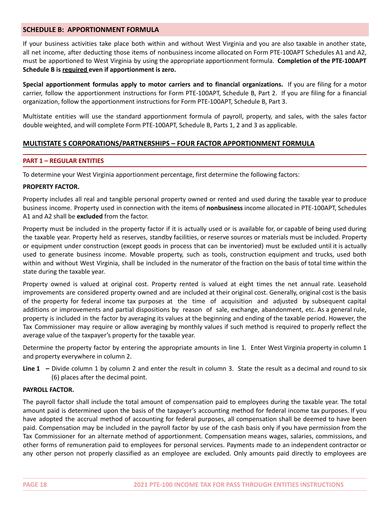# **SCHEDULE B: APPORTIONMENT FORMULA**

If your business activities take place both within and without West Virginia and you are also taxable in another state, all net income, after deducting those items of nonbusiness income allocated on Form PTE-100APT Schedules A1 and A2, must be apportioned to West Virginia by using the appropriate apportionment formula. **Completion of the PTE-100APT Schedule B is required even if apportionment is zero.**

**Special apportionment formulas apply to motor carriers and to financial organizations.** If you are filing for a motor carrier, follow the apportionment instructions for Form PTE-100APT, Schedule B, Part 2. If you are filing for a financial organization, follow the apportionment instructions for Form PTE-100APT, Schedule B, Part 3.

Multistate entities will use the standard apportionment formula of payroll, property, and sales, with the sales factor double weighted, and will complete Form PTE-100APT, Schedule B, Parts 1, 2 and 3 as applicable.

# **MULTISTATE S CORPORATIONS/PARTNERSHIPS – FOUR FACTOR APPORTIONMENT FORMULA**

### **PART 1 – REGULAR ENTITIES**

To determine your West Virginia apportionment percentage, first determine the following factors:

#### **PROPERTY FACTOR.**

Property includes all real and tangible personal property owned or rented and used during the taxable year to produce business income. Property used in connection with the items of **nonbusiness** income allocated in PTE-100APT, Schedules A1 and A2 shall be **excluded** from the factor.

Property must be included in the property factor if it is actually used or is available for, or capable of being used during the taxable year. Property held as reserves, standby facilities, or reserve sources or materials must be included. Property or equipment under construction (except goods in process that can be inventoried) must be excluded until it is actually used to generate business income. Movable property, such as tools, construction equipment and trucks, used both within and without West Virginia, shall be included in the numerator of the fraction on the basis of total time within the state during the taxable year.

Property owned is valued at original cost. Property rented is valued at eight times the net annual rate. Leasehold improvements are considered property owned and are included at their original cost. Generally, original cost is the basis of the property for federal income tax purposes at the time of acquisition and adjusted by subsequent capital additions or improvements and partial dispositions by reason of sale, exchange, abandonment, etc. As a general rule, property is included in the factor by averaging its values at the beginning and ending of the taxable period. However, the Tax Commissioner may require or allow averaging by monthly values if such method is required to properly reflect the average value of the taxpayer's property for the taxable year.

Determine the property factor by entering the appropriate amounts in line 1. Enter West Virginia property in column 1 and property everywhere in column 2.

**Line 1 –** Divide column 1 by column 2 and enter the result in column 3. State the result as a decimal and round to six (6) places after the decimal point.

### **PAYROLL FACTOR.**

The payroll factor shall include the total amount of compensation paid to employees during the taxable year. The total amount paid is determined upon the basis of the taxpayer's accounting method for federal income tax purposes. If you have adopted the accrual method of accounting for federal purposes, all compensation shall be deemed to have been paid. Compensation may be included in the payroll factor by use of the cash basis only if you have permission from the Tax Commissioner for an alternate method of apportionment. Compensation means wages, salaries, commissions, and other forms of remuneration paid to employees for personal services. Payments made to an independent contractor or any other person not properly classified as an employee are excluded. Only amounts paid directly to employees are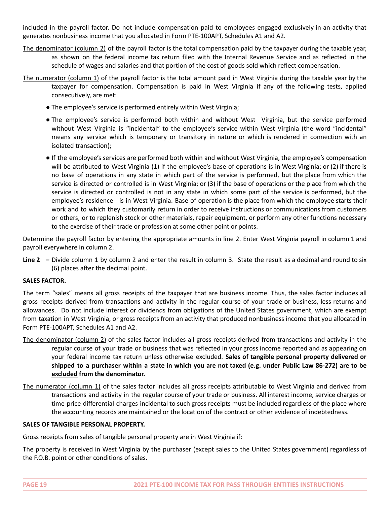included in the payroll factor. Do not include compensation paid to employees engaged exclusively in an activity that generates nonbusiness income that you allocated in Form PTE-100APT, Schedules A1 and A2.

The denominator (column 2) of the payroll factor is the total compensation paid by the taxpayer during the taxable year, as shown on the federal income tax return filed with the Internal Revenue Service and as reflected in the schedule of wages and salaries and that portion of the cost of goods sold which reflect compensation.

The numerator (column 1) of the payroll factor is the total amount paid in West Virginia during the taxable year by the taxpayer for compensation. Compensation is paid in West Virginia if any of the following tests, applied consecutively, are met:

- The employee's service is performed entirely within West Virginia;
- The employee's service is performed both within and without West Virginia, but the service performed without West Virginia is "incidental" to the employee's service within West Virginia (the word "incidental" means any service which is temporary or transitory in nature or which is rendered in connection with an isolated transaction);
- If the employee's services are performed both within and without West Virginia, the employee's compensation will be attributed to West Virginia (1) if the employee's base of operations is in West Virginia; or (2) if there is no base of operations in any state in which part of the service is performed, but the place from which the service is directed or controlled is in West Virginia; or (3) if the base of operations or the place from which the service is directed or controlled is not in any state in which some part of the service is performed, but the employee's residence is in West Virginia. Base of operation is the place from which the employee starts their work and to which they customarily return in order to receive instructions or communications from customers or others, or to replenish stock or other materials, repair equipment, or perform any other functions necessary to the exercise of their trade or profession at some other point or points.

Determine the payroll factor by entering the appropriate amounts in line 2. Enter West Virginia payroll in column 1 and payroll everywhere in column 2.

**Line 2 –** Divide column 1 by column 2 and enter the result in column 3. State the result as a decimal and round to six (6) places after the decimal point.

# **SALES FACTOR.**

The term "sales" means all gross receipts of the taxpayer that are business income. Thus, the sales factor includes all gross receipts derived from transactions and activity in the regular course of your trade or business, less returns and allowances. Do not include interest or dividends from obligations of the United States government, which are exempt from taxation in West Virginia, or gross receipts from an activity that produced nonbusiness income that you allocated in Form PTE-100APT, Schedules A1 and A2.

- The denominator (column 2) of the sales factor includes all gross receipts derived from transactions and activity in the regular course of your trade or business that was reflected in your gross income reported and as appearing on your federal income tax return unless otherwise excluded. **Sales of tangible personal property delivered or** shipped to a purchaser within a state in which you are not taxed (e.g. under Public Law 86-272) are to be **excluded from the denominator.**
- The numerator (column 1) of the sales factor includes all gross receipts attributable to West Virginia and derived from transactions and activity in the regular course of your trade or business. All interest income, service charges or time-price differential charges incidental to such gross receipts must be included regardless of the place where the accounting records are maintained or the location of the contract or other evidence of indebtedness.

# **SALES OF TANGIBLE PERSONAL PROPERTY.**

Gross receipts from sales of tangible personal property are in West Virginia if:

The property is received in West Virginia by the purchaser (except sales to the United States government) regardless of the F.O.B. point or other conditions of sales.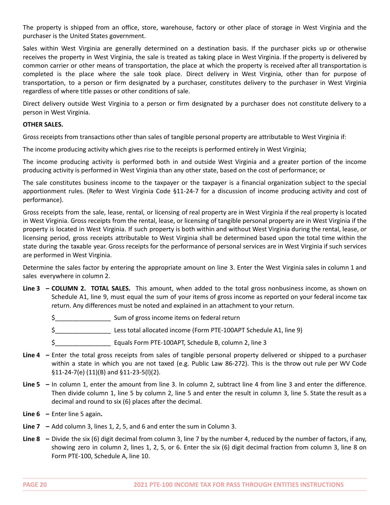The property is shipped from an office, store, warehouse, factory or other place of storage in West Virginia and the purchaser is the United States government.

Sales within West Virginia are generally determined on a destination basis. If the purchaser picks up or otherwise receives the property in West Virginia, the sale is treated as taking place in West Virginia. If the property is delivered by common carrier or other means of transportation, the place at which the property is received after all transportation is completed is the place where the sale took place. Direct delivery in West Virginia, other than for purpose of transportation, to a person or firm designated by a purchaser, constitutes delivery to the purchaser in West Virginia regardless of where title passes or other conditions of sale.

Direct delivery outside West Virginia to a person or firm designated by a purchaser does not constitute delivery to a person in West Virginia.

### **OTHER SALES.**

Gross receipts from transactions other than sales of tangible personal property are attributable to West Virginia if:

The income producing activity which gives rise to the receipts is performed entirely in West Virginia;

The income producing activity is performed both in and outside West Virginia and a greater portion of the income producing activity is performed in West Virginia than any other state, based on the cost of performance; or

The sale constitutes business income to the taxpayer or the taxpayer is a financial organization subject to the special apportionment rules. (Refer to West Virginia Code §11-24-7 for a discussion of income producing activity and cost of performance).

Gross receipts from the sale, lease, rental, or licensing of real property are in West Virginia if the real property is located in West Virginia. Gross receipts from the rental, lease, or licensing of tangible personal property are in West Virginia if the property is located in West Virginia. If such property is both within and without West Virginia during the rental, lease, or licensing period, gross receipts attributable to West Virginia shall be determined based upon the total time within the state during the taxable year. Gross receipts for the performance of personal services are in West Virginia if such services are performed in West Virginia.

Determine the sales factor by entering the appropriate amount on line 3. Enter the West Virginia sales in column 1 and sales everywhere in column 2.

**Line 3 – COLUMN 2. TOTAL SALES.** This amount, when added to the total gross nonbusiness income, as shown on Schedule A1, line 9, must equal the sum of your items of gross income as reported on your federal income tax return. Any differences must be noted and explained in an attachment to your return.

\$\_\_\_\_\_\_\_\_\_\_\_\_\_\_\_\_ Sum of gross income items on federal return

\$\_\_\_\_\_\_\_\_\_\_\_\_\_\_\_\_ Less total allocated income (Form PTE-100APT Schedule A1, line 9)

\$\_\_\_\_\_\_\_\_\_\_\_\_\_\_\_\_ Equals Form PTE-100APT, Schedule B, column 2, line 3

- **Line 4 –** Enter the total gross receipts from sales of tangible personal property delivered or shipped to a purchaser within a state in which you are not taxed (e.g. Public Law 86-272). This is the throw out rule per WV Code §11-24-7(e) (11)(B) and §11-23-5(l)(2).
- **Line 5 –** In column 1, enter the amount from line 3. In column 2, subtract line 4 from line 3 and enter the difference. Then divide column 1, line 5 by column 2, line 5 and enter the result in column 3, line 5. State the result as a decimal and round to six (6) places after the decimal.
- **Line 6 –** Enter line 5 again**.**
- **Line 7 –** Add column 3, lines 1, 2, 5, and 6 and enter the sum in Column 3.
- **Line 8 –** Divide the six (6) digit decimal from column 3, line 7 by the number 4, reduced by the number of factors, if any, showing zero in column 2, lines 1, 2, 5, or 6. Enter the six (6) digit decimal fraction from column 3, line 8 on Form PTE-100, Schedule A, line 10.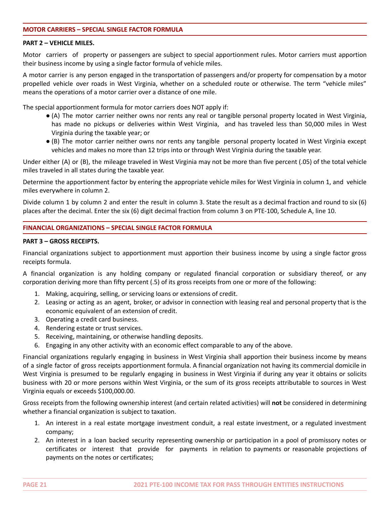### **MOTOR CARRIERS – SPECIAL SINGLE FACTOR FORMULA**

### **PART 2 – VEHICLE MILES.**

Motor carriers of property or passengers are subject to special apportionment rules. Motor carriers must apportion their business income by using a single factor formula of vehicle miles.

A motor carrier is any person engaged in the transportation of passengers and/or property for compensation by a motor propelled vehicle over roads in West Virginia, whether on a scheduled route or otherwise. The term "vehicle miles" means the operations of a motor carrier over a distance of one mile.

The special apportionment formula for motor carriers does NOT apply if:

- (A) The motor carrier neither owns nor rents any real or tangible personal property located in West Virginia, has made no pickups or deliveries within West Virginia, and has traveled less than 50,000 miles in West Virginia during the taxable year; or
- (B) The motor carrier neither owns nor rents any tangible personal property located in West Virginia except vehicles and makes no more than 12 trips into or through West Virginia during the taxable year.

Under either (A) or (B), the mileage traveled in West Virginia may not be more than five percent (.05) of the total vehicle miles traveled in all states during the taxable year.

Determine the apportionment factor by entering the appropriate vehicle miles for West Virginia in column 1, and vehicle miles everywhere in column 2.

Divide column 1 by column 2 and enter the result in column 3. State the result as a decimal fraction and round to six (6) places after the decimal. Enter the six (6) digit decimal fraction from column 3 on PTE-100, Schedule A, line 10.

### **FINANCIAL ORGANIZATIONS – SPECIAL SINGLE FACTOR FORMULA**

### **PART 3 – GROSS RECEIPTS.**

Financial organizations subject to apportionment must apportion their business income by using a single factor gross receipts formula.

A financial organization is any holding company or regulated financial corporation or subsidiary thereof, or any corporation deriving more than fifty percent (.5) of its gross receipts from one or more of the following:

- 1. Making, acquiring, selling, or servicing loans or extensions of credit.
- 2. Leasing or acting as an agent, broker, or advisor in connection with leasing real and personal property that is the economic equivalent of an extension of credit.
- 3. Operating a credit card business.
- 4. Rendering estate or trust services.
- 5. Receiving, maintaining, or otherwise handling deposits.
- 6. Engaging in any other activity with an economic effect comparable to any of the above.

Financial organizations regularly engaging in business in West Virginia shall apportion their business income by means of a single factor of gross receipts apportionment formula. A financial organization not having its commercial domicile in West Virginia is presumed to be regularly engaging in business in West Virginia if during any year it obtains or solicits business with 20 or more persons within West Virginia, or the sum of its gross receipts attributable to sources in West Virginia equals or exceeds \$100,000.00.

Gross receipts from the following ownership interest (and certain related activities) will **not** be considered in determining whether a financial organization is subject to taxation.

- 1. An interest in a real estate mortgage investment conduit, a real estate investment, or a regulated investment company;
- 2. An interest in a loan backed security representing ownership or participation in a pool of promissory notes or certificates or interest that provide for payments in relation to payments or reasonable projections of payments on the notes or certificates;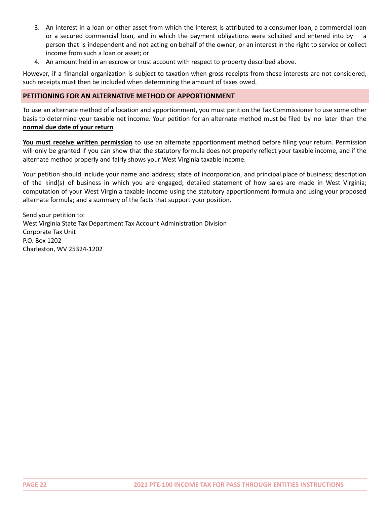- 3. An interest in a loan or other asset from which the interest is attributed to a consumer loan, a commercial loan or a secured commercial loan, and in which the payment obligations were solicited and entered into by a person that is independent and not acting on behalf of the owner; or an interest in the right to service or collect income from such a loan or asset; or
- 4. An amount held in an escrow or trust account with respect to property described above.

However, if a financial organization is subject to taxation when gross receipts from these interests are not considered, such receipts must then be included when determining the amount of taxes owed.

# **PETITIONING FOR AN ALTERNATIVE METHOD OF APPORTIONMENT**

To use an alternate method of allocation and apportionment, you must petition the Tax Commissioner to use some other basis to determine your taxable net income. Your petition for an alternate method must be filed by no later than the **normal due date of your return**.

**You must receive written permission** to use an alternate apportionment method before filing your return. Permission will only be granted if you can show that the statutory formula does not properly reflect your taxable income, and if the alternate method properly and fairly shows your West Virginia taxable income.

Your petition should include your name and address; state of incorporation, and principal place of business; description of the kind(s) of business in which you are engaged; detailed statement of how sales are made in West Virginia; computation of your West Virginia taxable income using the statutory apportionment formula and using your proposed alternate formula; and a summary of the facts that support your position.

Send your petition to: West Virginia State Tax Department Tax Account Administration Division Corporate Tax Unit P.O. Box 1202 Charleston, WV 25324-1202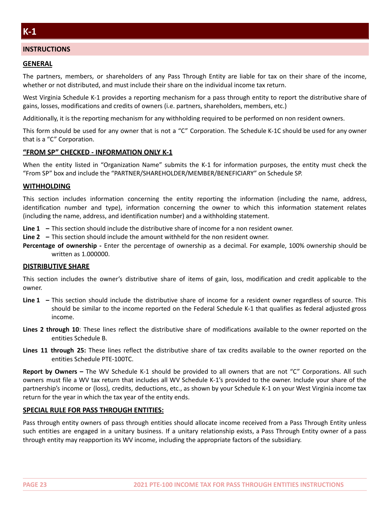# **INSTRUCTIONS**

### **GENERAL**

The partners, members, or shareholders of any Pass Through Entity are liable for tax on their share of the income, whether or not distributed, and must include their share on the individual income tax return.

West Virginia Schedule K-1 provides a reporting mechanism for a pass through entity to report the distributive share of gains, losses, modifications and credits of owners (i.e. partners, shareholders, members, etc.)

Additionally, it is the reporting mechanism for any withholding required to be performed on non resident owners.

This form should be used for any owner that is not a "C" Corporation. The Schedule K-1C should be used for any owner that is a "C" Corporation.

# **"FROM SP" CHECKED - INFORMATION ONLY K-1**

When the entity listed in "Organization Name" submits the K-1 for information purposes, the entity must check the "From SP" box and include the "PARTNER/SHAREHOLDER/MEMBER/BENEFICIARY" on Schedule SP.

### **WITHHOLDING**

This section includes information concerning the entity reporting the information (including the name, address, identification number and type), information concerning the owner to which this information statement relates (including the name, address, and identification number) and a withholding statement.

**Line 1 –** This section should include the distributive share of income for a non resident owner.

**Line 2 –** This section should include the amount withheld for the non resident owner.

**Percentage of ownership -** Enter the percentage of ownership as a decimal. For example, 100% ownership should be written as 1.000000.

### **DISTRIBUTIVE SHARE**

This section includes the owner's distributive share of items of gain, loss, modification and credit applicable to the owner.

- **Line 1 –** This section should include the distributive share of income for a resident owner regardless of source. This should be similar to the income reported on the Federal Schedule K-1 that qualifies as federal adjusted gross income.
- **Lines 2 through 10**: These lines reflect the distributive share of modifications available to the owner reported on the entities Schedule B.
- **Lines 11 through 25:** These lines reflect the distributive share of tax credits available to the owner reported on the entities Schedule PTE-100TC.

**Report by Owners –** The WV Schedule K-1 should be provided to all owners that are not "C" Corporations. All such owners must file a WV tax return that includes all WV Schedule K-1's provided to the owner. Include your share of the partnership's income or (loss), credits, deductions, etc., as shown by your Schedule K-1 on your West Virginia income tax return for the year in which the tax year of the entity ends.

# **SPECIAL RULE FOR PASS THROUGH ENTITIES:**

Pass through entity owners of pass through entities should allocate income received from a Pass Through Entity unless such entities are engaged in a unitary business. If a unitary relationship exists, a Pass Through Entity owner of a pass through entity may reapportion its WV income, including the appropriate factors of the subsidiary.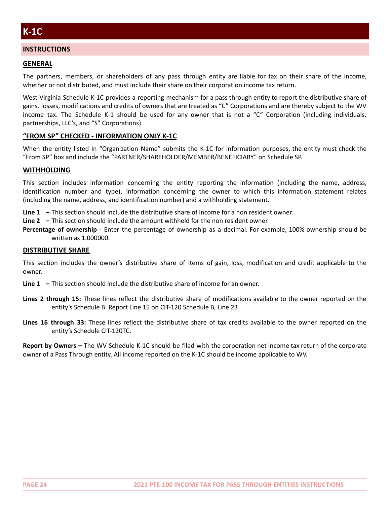# **INSTRUCTIONS**

# **GENERAL**

The partners, members, or shareholders of any pass through entity are liable for tax on their share of the income, whether or not distributed, and must include their share on their corporation income tax return.

West Virginia Schedule K-1C provides a reporting mechanism for a pass through entity to report the distributive share of gains, losses, modifications and credits of owners that are treated as "C" Corporations and are thereby subject to the WV income tax. The Schedule K-1 should be used for any owner that is not a "C" Corporation (including individuals, partnerships, LLC's, and "S" Corporations).

# **"FROM SP" CHECKED - INFORMATION ONLY K-1C**

When the entity listed in "Organization Name" submits the K-1C for information purposes, the entity must check the "From SP" box and include the "PARTNER/SHAREHOLDER/MEMBER/BENEFICIARY" on Schedule SP.

# **WITHHOLDING**

This section includes information concerning the entity reporting the information (including the name, address, identification number and type), information concerning the owner to which this information statement relates (including the name, address, and identification number) and a withholding statement.

**Line 1 –** This section should include the distributive share of income for a non resident owner.

**Line 2 – T**his section should include the amount withheld for the non resident owner.

**Percentage of ownership -** Enter the percentage of ownership as a decimal. For example, 100% ownership should be written as 1.000000.

# **DISTRIBUTIVE SHARE**

This section includes the owner's distributive share of items of gain, loss, modification and credit applicable to the owner.

**Line 1 –** This section should include the distributive share of income for an owner.

- **Lines 2 through 15:** These lines reflect the distributive share of modifications available to the owner reported on the entity's Schedule B. Report Line 15 on CIT-120 Schedule B, Line 23
- **Lines 16 through 33:** These lines reflect the distributive share of tax credits available to the owner reported on the entity's Schedule CIT-120TC.

**Report by Owners –** The WV Schedule K-1C should be filed with the corporation net income tax return of the corporate owner of a Pass Through entity. All income reported on the K-1C should be income applicable to WV.